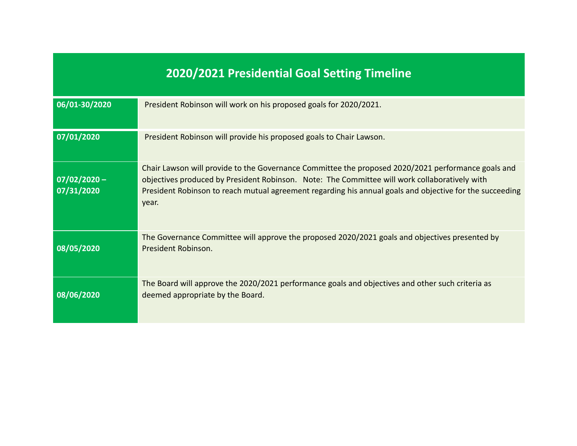| 2020/2021 Presidential Goal Setting Timeline |                                                                                                                                                                                                                                                                                                                          |
|----------------------------------------------|--------------------------------------------------------------------------------------------------------------------------------------------------------------------------------------------------------------------------------------------------------------------------------------------------------------------------|
| 06/01-30/2020                                | President Robinson will work on his proposed goals for 2020/2021.                                                                                                                                                                                                                                                        |
| 07/01/2020                                   | President Robinson will provide his proposed goals to Chair Lawson.                                                                                                                                                                                                                                                      |
| $07/02/2020 -$<br>07/31/2020                 | Chair Lawson will provide to the Governance Committee the proposed 2020/2021 performance goals and<br>objectives produced by President Robinson. Note: The Committee will work collaboratively with<br>President Robinson to reach mutual agreement regarding his annual goals and objective for the succeeding<br>year. |
| 08/05/2020                                   | The Governance Committee will approve the proposed 2020/2021 goals and objectives presented by<br>President Robinson.                                                                                                                                                                                                    |
| 08/06/2020                                   | The Board will approve the 2020/2021 performance goals and objectives and other such criteria as<br>deemed appropriate by the Board.                                                                                                                                                                                     |